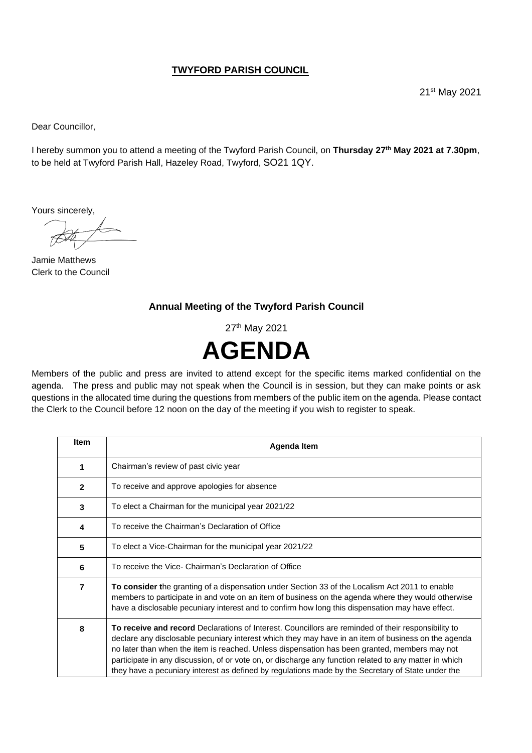## **TWYFORD PARISH COUNCIL**

21<sup>st</sup> May 2021

Dear Councillor,

I hereby summon you to attend a meeting of the Twyford Parish Council, on **Thursday 27 th May 2021 at 7.30pm**, to be held at Twyford Parish Hall, Hazeley Road, Twyford, SO21 1QY.

Yours sincerely,

Jamie Matthews Clerk to the Council

## **Annual Meeting of the Twyford Parish Council**

27<sup>th</sup> May 2021



Members of the public and press are invited to attend except for the specific items marked confidential on the agenda. The press and public may not speak when the Council is in session, but they can make points or ask questions in the allocated time during the questions from members of the public item on the agenda. Please contact the Clerk to the Council before 12 noon on the day of the meeting if you wish to register to speak.

| <b>Item</b>  | Agenda Item                                                                                                                                                                                                                                                                                                                                                                                                                                                                                                                |
|--------------|----------------------------------------------------------------------------------------------------------------------------------------------------------------------------------------------------------------------------------------------------------------------------------------------------------------------------------------------------------------------------------------------------------------------------------------------------------------------------------------------------------------------------|
| 1            | Chairman's review of past civic year                                                                                                                                                                                                                                                                                                                                                                                                                                                                                       |
| $\mathbf{2}$ | To receive and approve apologies for absence                                                                                                                                                                                                                                                                                                                                                                                                                                                                               |
| 3            | To elect a Chairman for the municipal year 2021/22                                                                                                                                                                                                                                                                                                                                                                                                                                                                         |
| 4            | To receive the Chairman's Declaration of Office                                                                                                                                                                                                                                                                                                                                                                                                                                                                            |
| 5            | To elect a Vice-Chairman for the municipal year 2021/22                                                                                                                                                                                                                                                                                                                                                                                                                                                                    |
| 6            | To receive the Vice- Chairman's Declaration of Office                                                                                                                                                                                                                                                                                                                                                                                                                                                                      |
| 7            | <b>To consider the granting of a dispensation under Section 33 of the Localism Act 2011 to enable</b><br>members to participate in and vote on an item of business on the agenda where they would otherwise<br>have a disclosable pecuniary interest and to confirm how long this dispensation may have effect.                                                                                                                                                                                                            |
| 8            | To receive and record Declarations of Interest. Councillors are reminded of their responsibility to<br>declare any disclosable pecuniary interest which they may have in an item of business on the agenda<br>no later than when the item is reached. Unless dispensation has been granted, members may not<br>participate in any discussion, of or vote on, or discharge any function related to any matter in which<br>they have a pecuniary interest as defined by regulations made by the Secretary of State under the |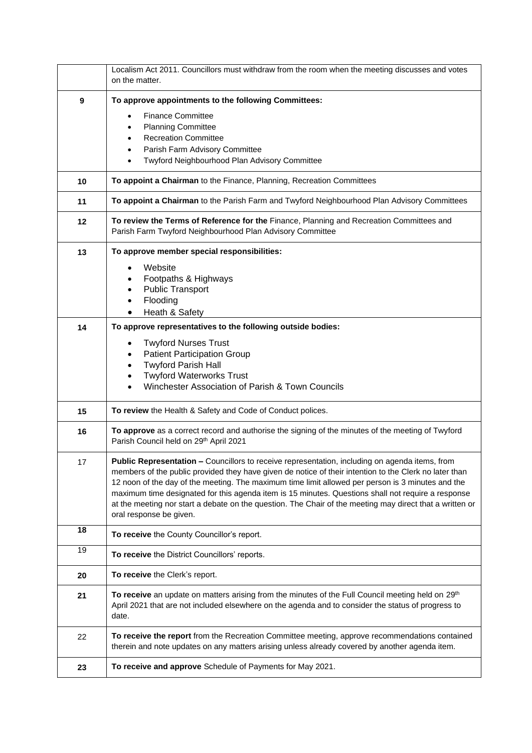|    | Localism Act 2011. Councillors must withdraw from the room when the meeting discusses and votes<br>on the matter.                                                                                                                                                                                                                                                                                                                                                                                                                                          |
|----|------------------------------------------------------------------------------------------------------------------------------------------------------------------------------------------------------------------------------------------------------------------------------------------------------------------------------------------------------------------------------------------------------------------------------------------------------------------------------------------------------------------------------------------------------------|
| 9  | To approve appointments to the following Committees:                                                                                                                                                                                                                                                                                                                                                                                                                                                                                                       |
|    | <b>Finance Committee</b><br><b>Planning Committee</b><br><b>Recreation Committee</b><br>Parish Farm Advisory Committee<br>Twyford Neighbourhood Plan Advisory Committee                                                                                                                                                                                                                                                                                                                                                                                    |
| 10 | To appoint a Chairman to the Finance, Planning, Recreation Committees                                                                                                                                                                                                                                                                                                                                                                                                                                                                                      |
| 11 | To appoint a Chairman to the Parish Farm and Twyford Neighbourhood Plan Advisory Committees                                                                                                                                                                                                                                                                                                                                                                                                                                                                |
| 12 | To review the Terms of Reference for the Finance, Planning and Recreation Committees and<br>Parish Farm Twyford Neighbourhood Plan Advisory Committee                                                                                                                                                                                                                                                                                                                                                                                                      |
| 13 | To approve member special responsibilities:<br>Website<br>Footpaths & Highways<br><b>Public Transport</b><br>Flooding<br>Heath & Safety                                                                                                                                                                                                                                                                                                                                                                                                                    |
| 14 | To approve representatives to the following outside bodies:                                                                                                                                                                                                                                                                                                                                                                                                                                                                                                |
|    | <b>Twyford Nurses Trust</b><br><b>Patient Participation Group</b><br><b>Twyford Parish Hall</b><br><b>Twyford Waterworks Trust</b><br>Winchester Association of Parish & Town Councils                                                                                                                                                                                                                                                                                                                                                                     |
| 15 | To review the Health & Safety and Code of Conduct polices.                                                                                                                                                                                                                                                                                                                                                                                                                                                                                                 |
| 16 | To approve as a correct record and authorise the signing of the minutes of the meeting of Twyford<br>Parish Council held on 29th April 2021                                                                                                                                                                                                                                                                                                                                                                                                                |
| 17 | Public Representation - Councillors to receive representation, including on agenda items, from<br>members of the public provided they have given de notice of their intention to the Clerk no later than<br>12 noon of the day of the meeting. The maximum time limit allowed per person is 3 minutes and the<br>maximum time designated for this agenda item is 15 minutes. Questions shall not require a response<br>at the meeting nor start a debate on the question. The Chair of the meeting may direct that a written or<br>oral response be given. |
| 18 | To receive the County Councillor's report.                                                                                                                                                                                                                                                                                                                                                                                                                                                                                                                 |
| 19 | To receive the District Councillors' reports.                                                                                                                                                                                                                                                                                                                                                                                                                                                                                                              |
| 20 | To receive the Clerk's report.                                                                                                                                                                                                                                                                                                                                                                                                                                                                                                                             |
| 21 | To receive an update on matters arising from the minutes of the Full Council meeting held on 29 <sup>th</sup><br>April 2021 that are not included elsewhere on the agenda and to consider the status of progress to<br>date.                                                                                                                                                                                                                                                                                                                               |
| 22 | To receive the report from the Recreation Committee meeting, approve recommendations contained<br>therein and note updates on any matters arising unless already covered by another agenda item.                                                                                                                                                                                                                                                                                                                                                           |
| 23 | To receive and approve Schedule of Payments for May 2021.                                                                                                                                                                                                                                                                                                                                                                                                                                                                                                  |